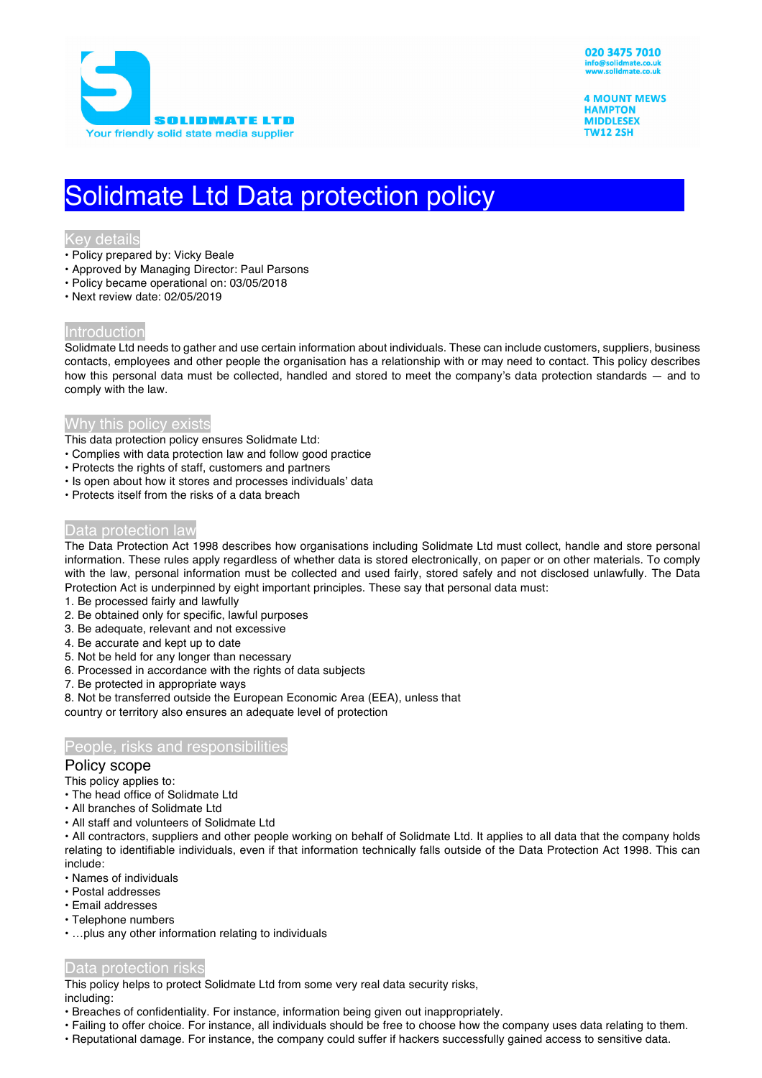

**4 MOUNT MEWS HAMPTON MIDDLESEX TW12 2SH** 

# Solidmate Ltd Data protection policy

## Key details

- Policy prepared by: Vicky Beale
- Approved by Managing Director: Paul Parsons
- Policy became operational on: 03/05/2018
- Next review date: 02/05/2019

## Introduction

Solidmate Ltd needs to gather and use certain information about individuals. These can include customers, suppliers, business contacts, employees and other people the organisation has a relationship with or may need to contact. This policy describes how this personal data must be collected, handled and stored to meet the company's data protection standards — and to comply with the law.

# Why this policy exists

- This data protection policy ensures Solidmate Ltd:
- Complies with data protection law and follow good practice
- Protects the rights of staff, customers and partners
- Is open about how it stores and processes individuals' data
- Protects itself from the risks of a data breach

# Data protection law

The Data Protection Act 1998 describes how organisations including Solidmate Ltd must collect, handle and store personal information. These rules apply regardless of whether data is stored electronically, on paper or on other materials. To comply with the law, personal information must be collected and used fairly, stored safely and not disclosed unlawfully. The Data Protection Act is underpinned by eight important principles. These say that personal data must:

- 1. Be processed fairly and lawfully
- 2. Be obtained only for specific, lawful purposes
- 3. Be adequate, relevant and not excessive
- 4. Be accurate and kept up to date
- 5. Not be held for any longer than necessary
- 6. Processed in accordance with the rights of data subjects
- 7. Be protected in appropriate ways

8. Not be transferred outside the European Economic Area (EEA), unless that

country or territory also ensures an adequate level of protection

## People, risks and responsibilities

#### Policy scope

This policy applies to:

- The head office of Solidmate Ltd
- All branches of Solidmate Ltd
- All staff and volunteers of Solidmate Ltd

• All contractors, suppliers and other people working on behalf of Solidmate Ltd. It applies to all data that the company holds relating to identifiable individuals, even if that information technically falls outside of the Data Protection Act 1998. This can include:

- Names of individuals
- Postal addresses
- Email addresses
- Telephone numbers
- …plus any other information relating to individuals

## Data protection risks

This policy helps to protect Solidmate Ltd from some very real data security risks, including:

- Breaches of confidentiality. For instance, information being given out inappropriately.
- Failing to offer choice. For instance, all individuals should be free to choose how the company uses data relating to them.
- Reputational damage. For instance, the company could suffer if hackers successfully gained access to sensitive data.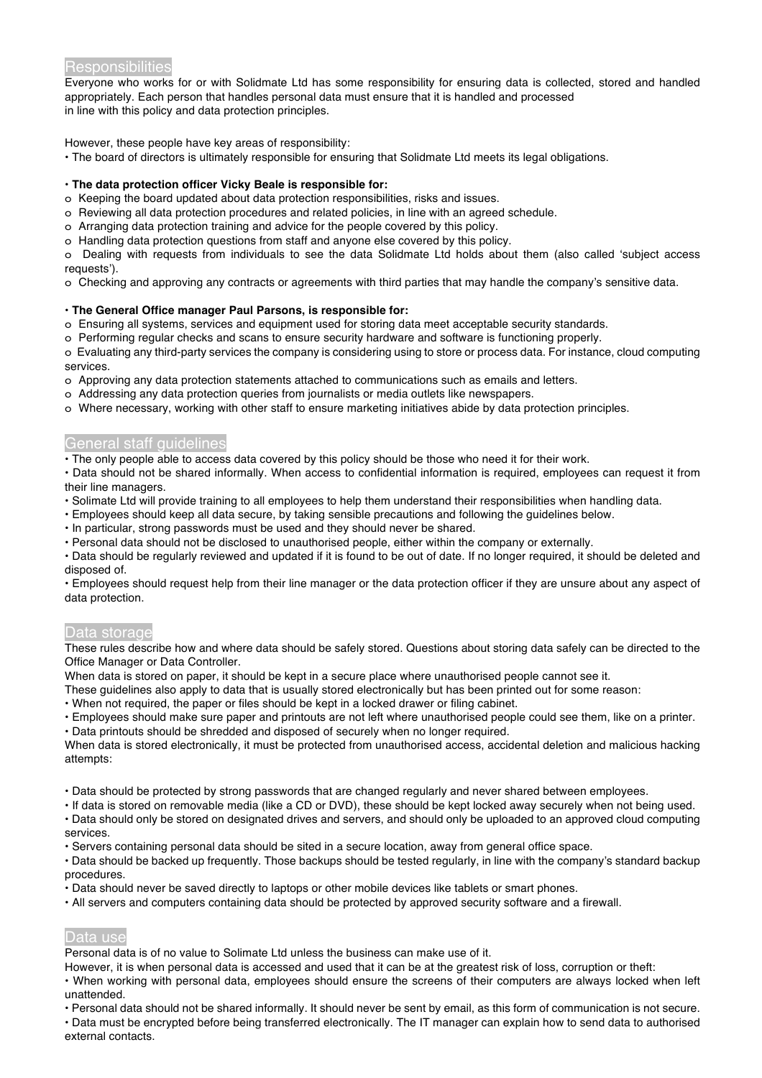## **Responsibilities**

Everyone who works for or with Solidmate Ltd has some responsibility for ensuring data is collected, stored and handled appropriately. Each person that handles personal data must ensure that it is handled and processed in line with this policy and data protection principles.

However, these people have key areas of responsibility:

• The board of directors is ultimately responsible for ensuring that Solidmate Ltd meets its legal obligations.

#### **• The data protection officer Vicky Beale is responsible for:**

o Keeping the board updated about data protection responsibilities, risks and issues.

- o Reviewing all data protection procedures and related policies, in line with an agreed schedule.
- o Arranging data protection training and advice for the people covered by this policy.
- o Handling data protection questions from staff and anyone else covered by this policy.

o Dealing with requests from individuals to see the data Solidmate Ltd holds about them (also called 'subject access requests').

o Checking and approving any contracts or agreements with third parties that may handle the company's sensitive data.

#### **• The General Office manager Paul Parsons, is responsible for:**

- o Ensuring all systems, services and equipment used for storing data meet acceptable security standards.
- o Performing regular checks and scans to ensure security hardware and software is functioning properly.

o Evaluating any third-party services the company is considering using to store or process data. For instance, cloud computing services.

- o Approving any data protection statements attached to communications such as emails and letters.
- o Addressing any data protection queries from journalists or media outlets like newspapers.
- o Where necessary, working with other staff to ensure marketing initiatives abide by data protection principles.

# General staff guidelines

• The only people able to access data covered by this policy should be those who need it for their work.

• Data should not be shared informally. When access to confidential information is required, employees can request it from their line managers.

- Solimate Ltd will provide training to all employees to help them understand their responsibilities when handling data.
- Employees should keep all data secure, by taking sensible precautions and following the guidelines below.
- In particular, strong passwords must be used and they should never be shared.
- Personal data should not be disclosed to unauthorised people, either within the company or externally.
- Data should be regularly reviewed and updated if it is found to be out of date. If no longer required, it should be deleted and disposed of.

• Employees should request help from their line manager or the data protection officer if they are unsure about any aspect of data protection.

# Data storage

These rules describe how and where data should be safely stored. Questions about storing data safely can be directed to the Office Manager or Data Controller.

When data is stored on paper, it should be kept in a secure place where unauthorised people cannot see it.

- These guidelines also apply to data that is usually stored electronically but has been printed out for some reason:
- When not required, the paper or files should be kept in a locked drawer or filing cabinet.
- Employees should make sure paper and printouts are not left where unauthorised people could see them, like on a printer.
- Data printouts should be shredded and disposed of securely when no longer required.

When data is stored electronically, it must be protected from unauthorised access, accidental deletion and malicious hacking attempts:

- Data should be protected by strong passwords that are changed regularly and never shared between employees.
- If data is stored on removable media (like a CD or DVD), these should be kept locked away securely when not being used. • Data should only be stored on designated drives and servers, and should only be uploaded to an approved cloud computing
- services.
- Servers containing personal data should be sited in a secure location, away from general office space.
- Data should be backed up frequently. Those backups should be tested regularly, in line with the company's standard backup procedures.
- Data should never be saved directly to laptops or other mobile devices like tablets or smart phones.
- All servers and computers containing data should be protected by approved security software and a firewall.

# Data use

Personal data is of no value to Solimate Ltd unless the business can make use of it.

However, it is when personal data is accessed and used that it can be at the greatest risk of loss, corruption or theft: • When working with personal data, employees should ensure the screens of their computers are always locked when left

unattended.

• Personal data should not be shared informally. It should never be sent by email, as this form of communication is not secure.

• Data must be encrypted before being transferred electronically. The IT manager can explain how to send data to authorised external contacts.